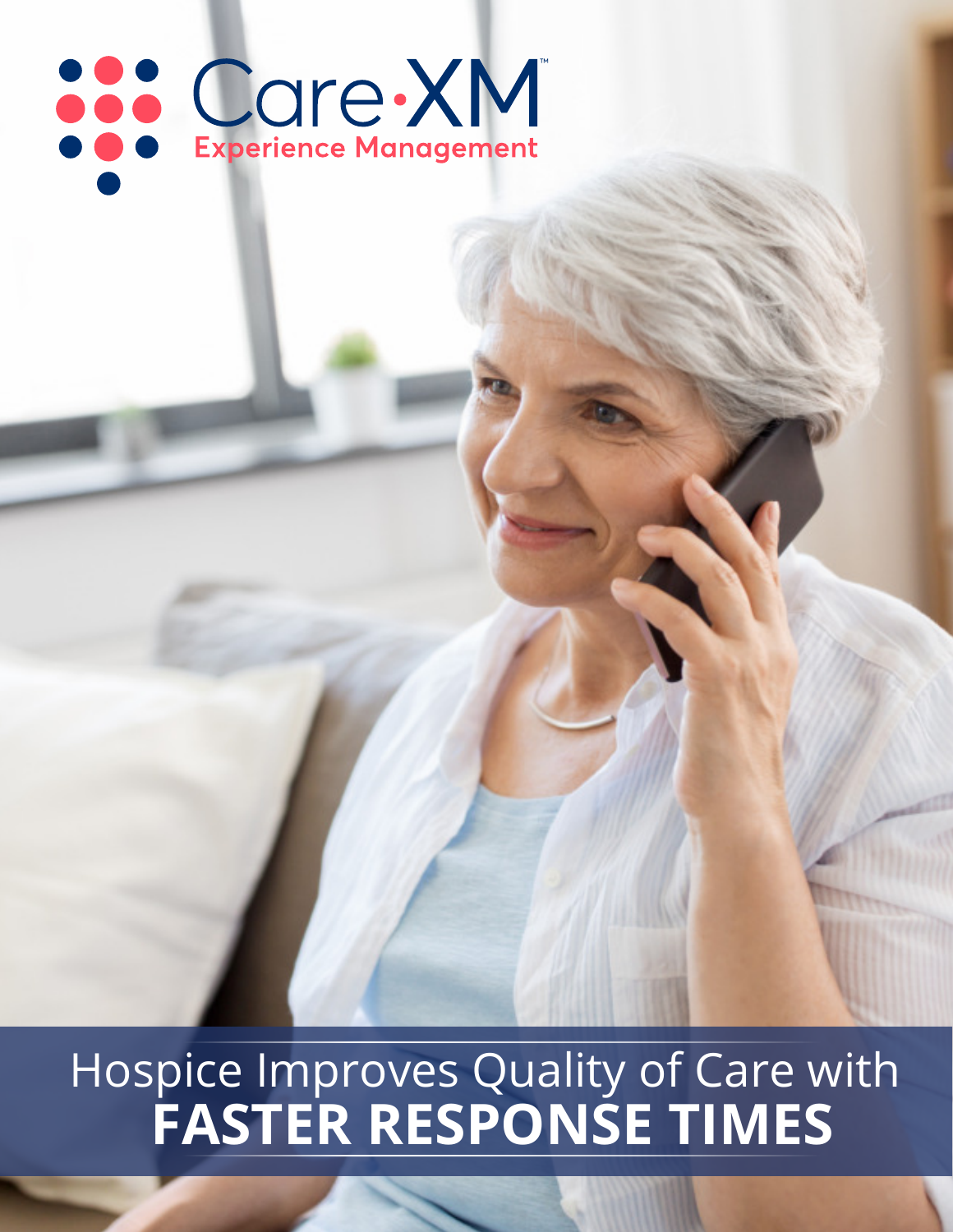# Care XM

 **FASTER RESPONSE TIMES** Hospice Improves Quality of Care with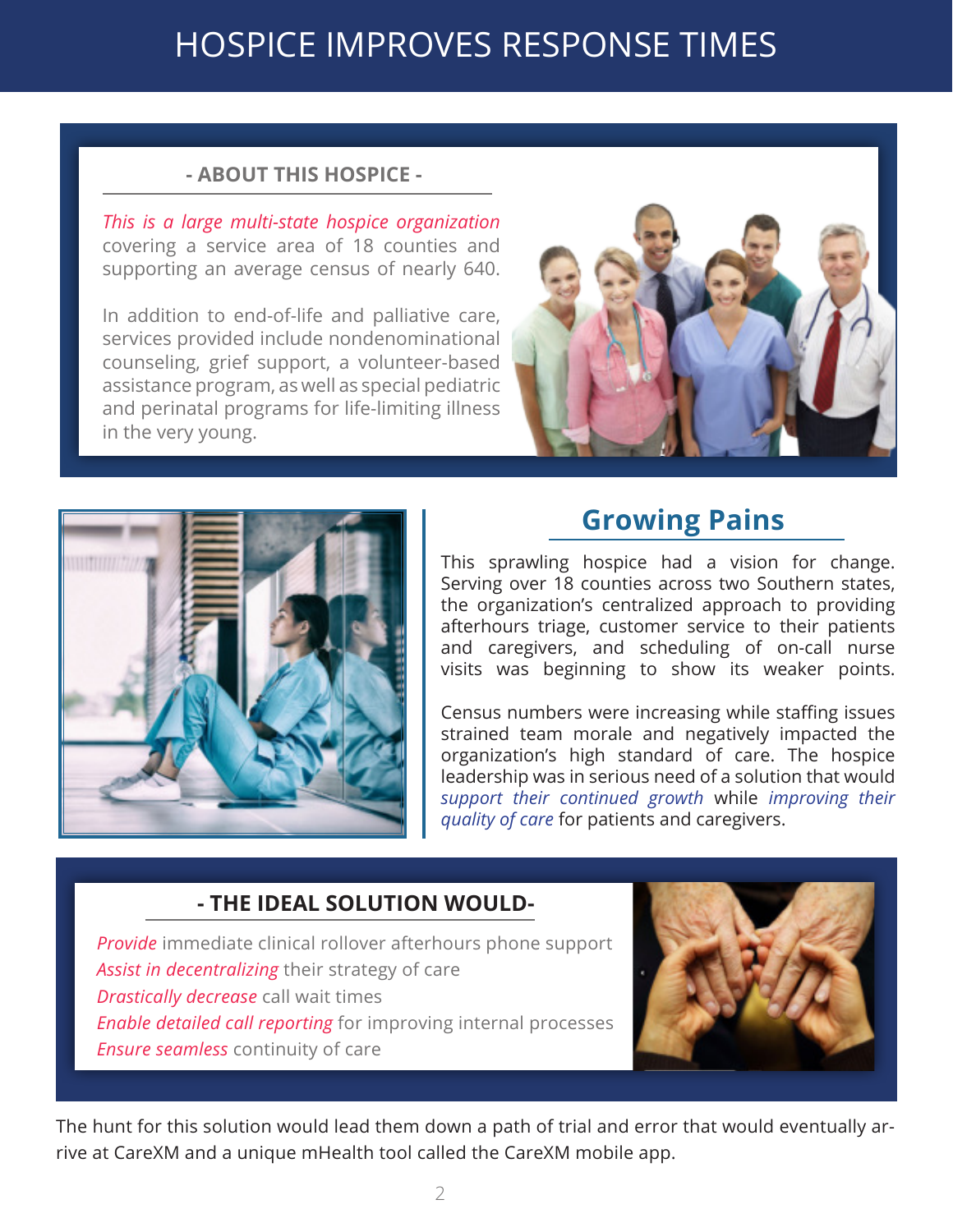#### **- ABOUT THIS HOSPICE -**

*This is a large multi-state hospice organization*  covering a service area of 18 counties and supporting an average census of nearly 640.

In addition to end-of-life and palliative care, services provided include nondenominational counseling, grief support, a volunteer-based assistance program, as well as special pediatric and perinatal programs for life-limiting illness in the very young.





#### **Growing Pains**

This sprawling hospice had a vision for change. Serving over 18 counties across two Southern states, the organization's centralized approach to providing afterhours triage, customer service to their patients and caregivers, and scheduling of on-call nurse visits was beginning to show its weaker points.

Census numbers were increasing while staffing issues strained team morale and negatively impacted the organization's high standard of care. The hospice leadership was in serious need of a solution that would *support their continued growth* while *improving their quality of care* for patients and caregivers.

#### **- THE IDEAL SOLUTION WOULD-**

*Provide* immediate clinical rollover afterhours phone support *Assist in decentralizing* their strategy of care *Drastically decrease* call wait times *Enable detailed call reporting* for improving internal processes *Ensure seamless* continuity of care



The hunt for this solution would lead them down a path of trial and error that would eventually arrive at CareXM and a unique mHealth tool called the CareXM mobile app.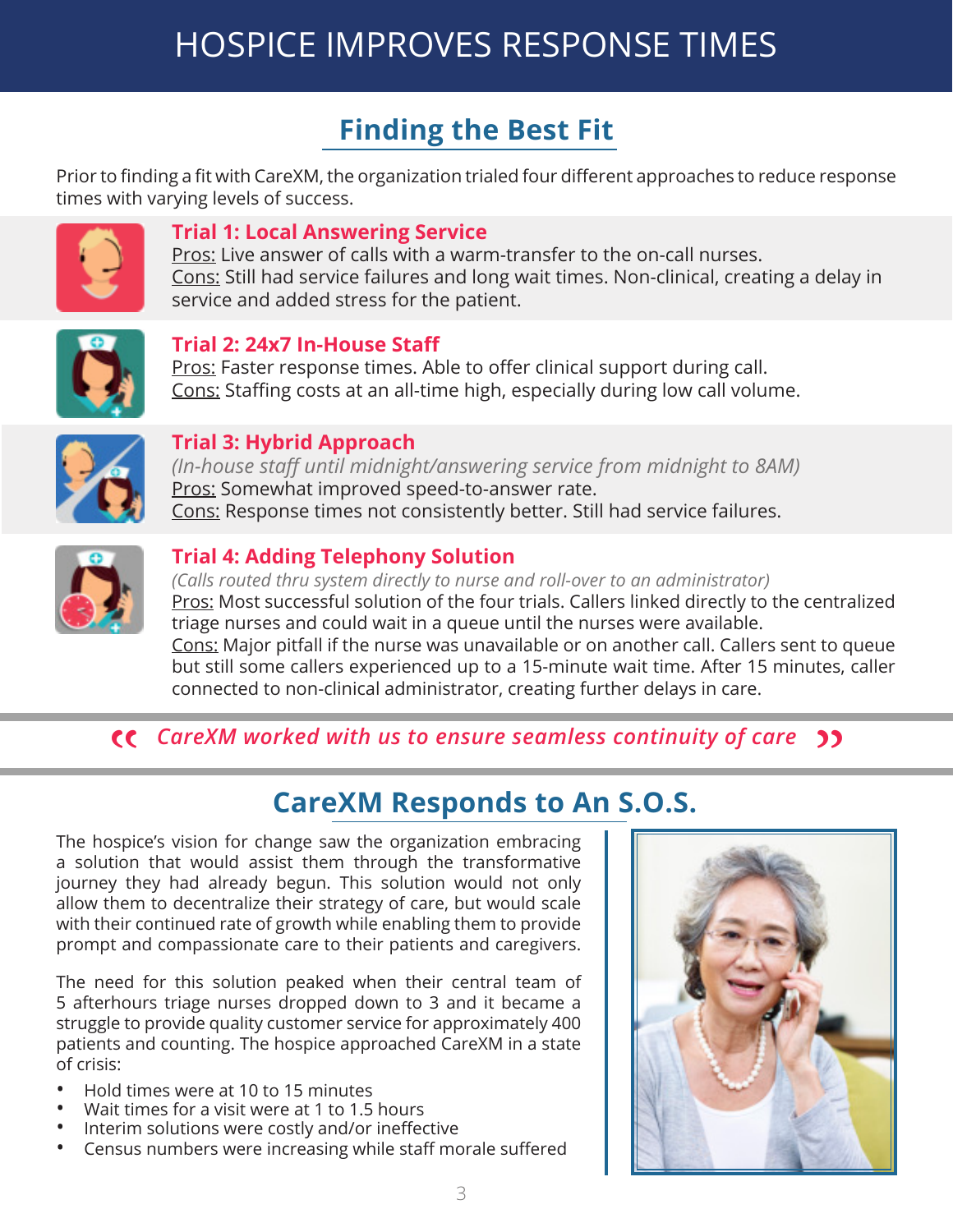## **Finding the Best Fit**

Prior to finding a fit with CareXM, the organization trialed four different approaches to reduce response times with varying levels of success.



#### **Trial 1: Local Answering Service**

Pros: Live answer of calls with a warm-transfer to the on-call nurses. Cons: Still had service failures and long wait times. Non-clinical, creating a delay in service and added stress for the patient.



#### **Trial 2: 24x7 In-House Staff**

Pros: Faster response times. Able to offer clinical support during call. Cons: Staffing costs at an all-time high, especially during low call volume.



#### **Trial 3: Hybrid Approach**

*(In-house staff until midnight/answering service from midnight to 8AM)* Pros: Somewhat improved speed-to-answer rate. Cons: Response times not consistently better. Still had service failures.



#### **Trial 4: Adding Telephony Solution**

*(Calls routed thru system directly to nurse and roll-over to an administrator)* Pros: Most successful solution of the four trials. Callers linked directly to the centralized triage nurses and could wait in a queue until the nurses were available. Cons: Major pitfall if the nurse was unavailable or on another call. Callers sent to queue but still some callers experienced up to a 15-minute wait time. After 15 minutes, caller connected to non-clinical administrator, creating further delays in care.

# *CareXM worked with us to ensure seamless continuity of care* " "

#### **CareXM Responds to An S.O.S.**

The hospice's vision for change saw the organization embracing a solution that would assist them through the transformative journey they had already begun. This solution would not only allow them to decentralize their strategy of care, but would scale with their continued rate of growth while enabling them to provide prompt and compassionate care to their patients and caregivers.

The need for this solution peaked when their central team of 5 afterhours triage nurses dropped down to 3 and it became a struggle to provide quality customer service for approximately 400 patients and counting. The hospice approached CareXM in a state of crisis:

- Hold times were at 10 to 15 minutes
- Wait times for a visit were at 1 to 1.5 hours
- Interim solutions were costly and/or ineffective
- Census numbers were increasing while staff morale suffered

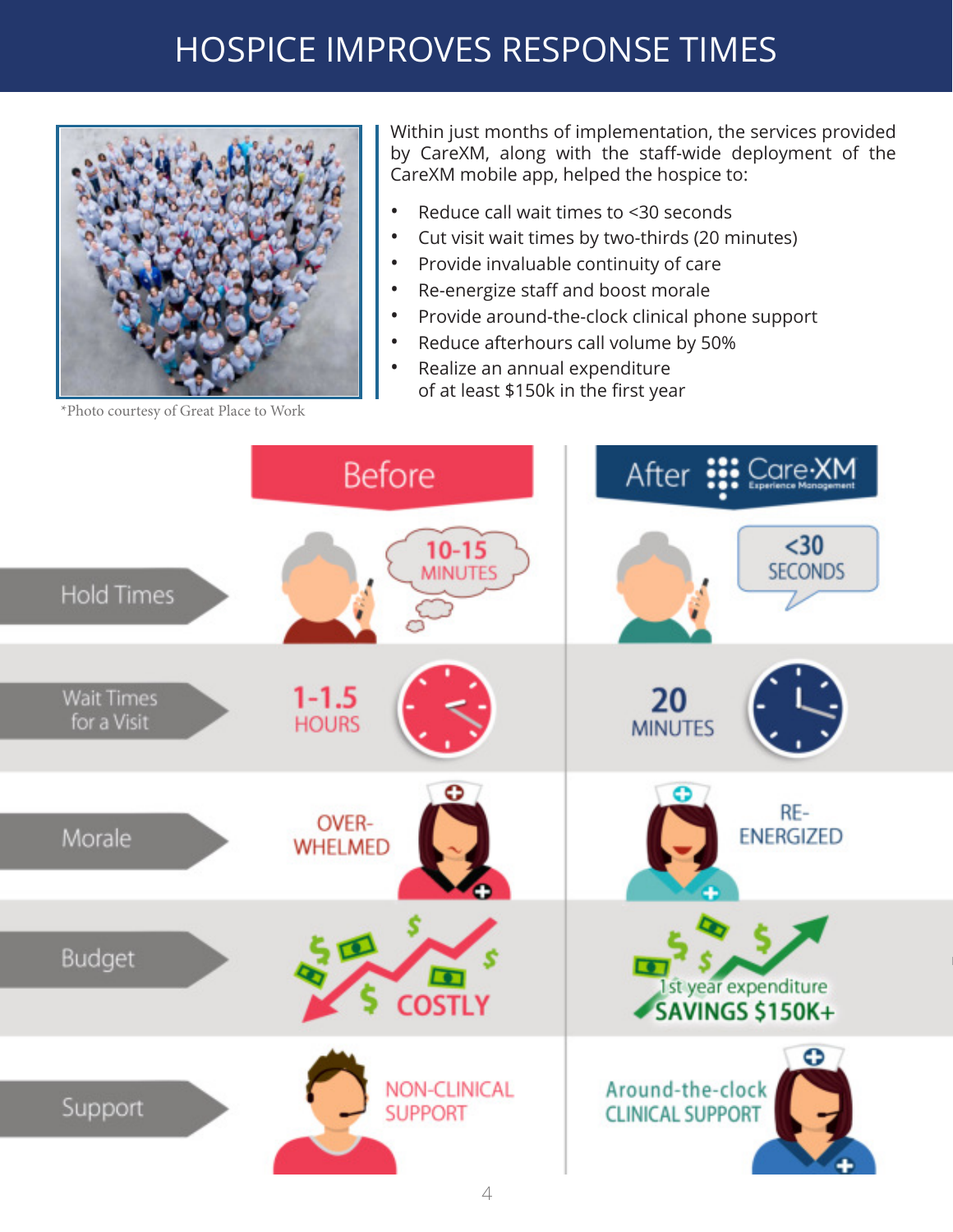

\*Photo courtesy of Great Place to Work

Within just months of implementation, the services provided by CareXM, along with the staff-wide deployment of the CareXM mobile app, helped the hospice to:

- Reduce call wait times to <30 seconds
- Cut visit wait times by two-thirds (20 minutes)
- Provide invaluable continuity of care
- Re-energize staff and boost morale
- Provide around-the-clock clinical phone support
- Reduce afterhours call volume by 50%
- Realize an annual expenditure of at least \$150k in the first year

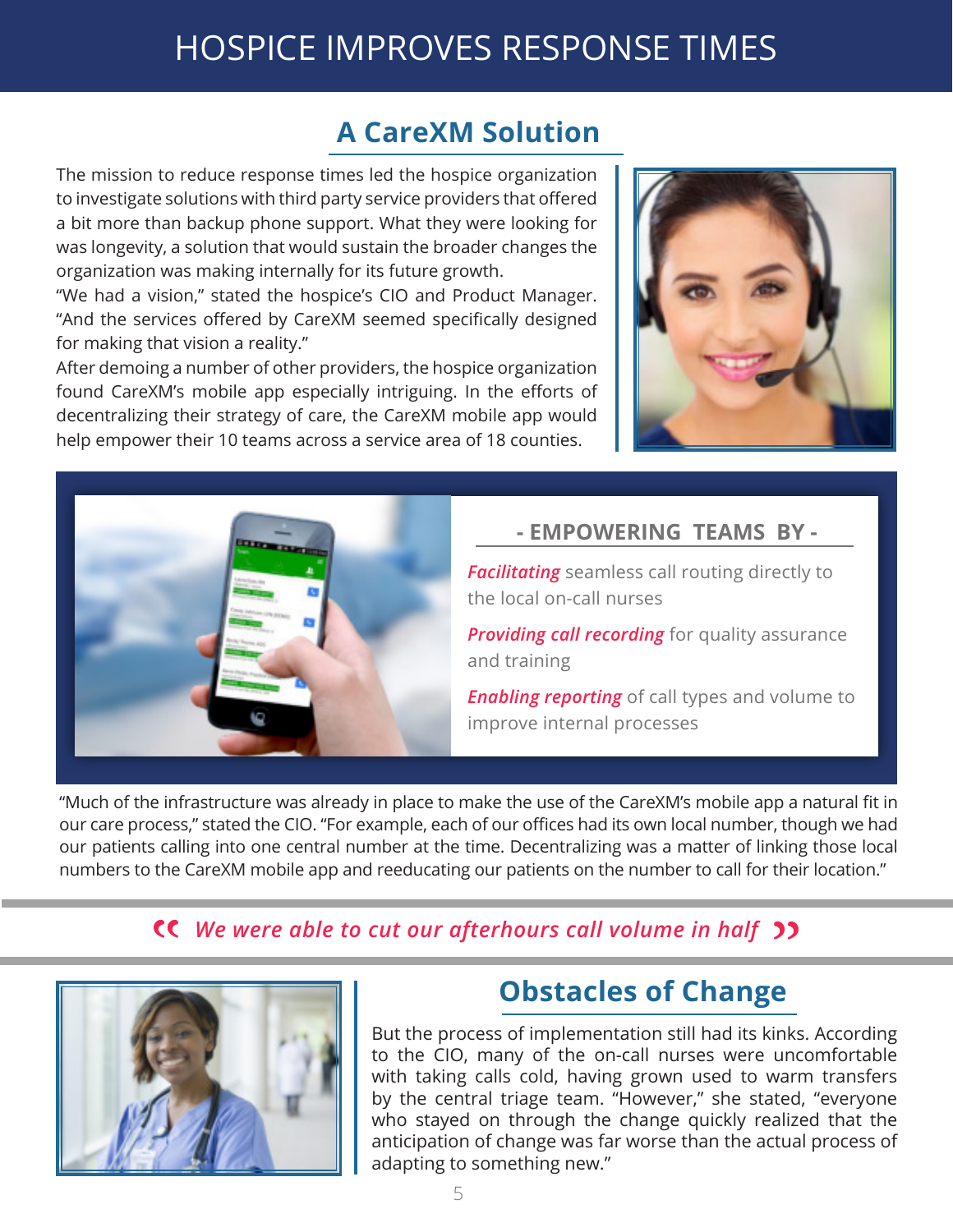#### **A CareXM Solution**

The mission to reduce response times led the hospice organization to investigate solutions with third party service providers that offered a bit more than backup phone support. What they were looking for was longevity, a solution that would sustain the broader changes the organization was making internally for its future growth.

"We had a vision," stated the hospice's CIO and Product Manager. "And the services offered by CareXM seemed specifically designed for making that vision a reality."

After demoing a number of other providers, the hospice organization found CareXM's mobile app especially intriguing. In the efforts of decentralizing their strategy of care, the CareXM mobile app would help empower their 10 teams across a service area of 18 counties.





#### **- EMPOWERING TEAMS BY -**

*Facilitating* seamless call routing directly to the local on-call nurses

*Providing call recording* for quality assurance and training

*Enabling reporting* of call types and volume to improve internal processes

"Much of the infrastructure was already in place to make the use of the CareXM's mobile app a natural fit in our care process," stated the CIO. "For example, each of our offices had its own local number, though we had our patients calling into one central number at the time. Decentralizing was a matter of linking those local numbers to the CareXM mobile app and reeducating our patients on the number to call for their location."

# **CC** We were able to cut our afterhours call volume in half 22<br> **COLOGITY COLOGITY OF CHANGE**



### **Obstacles of Change**

But the process of implementation still had its kinks. According to the CIO, many of the on-call nurses were uncomfortable with taking calls cold, having grown used to warm transfers by the central triage team. "However," she stated, "everyone who stayed on through the change quickly realized that the anticipation of change was far worse than the actual process of adapting to something new."